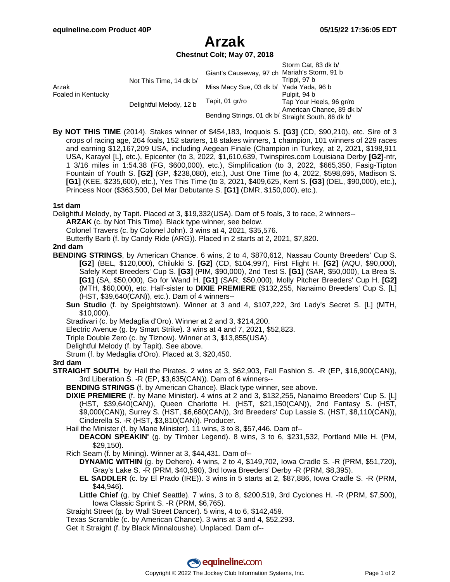# **Arzak**

# **Chestnut Colt; May 07, 2018**

|                             |                         |                                                    | Storm Cat, 83 dk b/       |
|-----------------------------|-------------------------|----------------------------------------------------|---------------------------|
| Arzak<br>Foaled in Kentucky | Not This Time, 14 dk b/ | Giant's Causeway, 97 ch Mariah's Storm, 91 b       |                           |
|                             |                         |                                                    | Trippi, 97 b              |
|                             |                         | Miss Macy Sue, 03 dk b/ Yada Yada, 96 b            |                           |
|                             | Delightful Melody, 12 b |                                                    | Pulpit, 94 b              |
|                             |                         | Tapit, 01 gr/ro                                    | Tap Your Heels, 96 gr/ro  |
|                             |                         |                                                    | American Chance, 89 dk b/ |
|                             |                         | Bending Strings, 01 dk b/ Straight South, 86 dk b/ |                           |

**By NOT THIS TIME** (2014). Stakes winner of \$454,183, Iroquois S. **[G3]** (CD, \$90,210), etc. Sire of 3 crops of racing age, 264 foals, 152 starters, 18 stakes winners, 1 champion, 101 winners of 229 races and earning \$12,167,209 USA, including Aegean Finale (Champion in Turkey, at 2, 2021, \$198,911 USA, Karayel [L], etc.), Epicenter (to 3, 2022, \$1,610,639, Twinspires.com Louisiana Derby **[G2]**-ntr, 1 3/16 miles in 1:54.38 (FG, \$600,000), etc.), Simplification (to 3, 2022, \$665,350, Fasig-Tipton Fountain of Youth S. **[G2]** (GP, \$238,080), etc.), Just One Time (to 4, 2022, \$598,695, Madison S. **[G1]** (KEE, \$235,600), etc.), Yes This Time (to 3, 2021, \$409,625, Kent S. **[G3]** (DEL, \$90,000), etc.), Princess Noor (\$363,500, Del Mar Debutante S. **[G1]** (DMR, \$150,000), etc.).

# **1st dam**

Delightful Melody, by Tapit. Placed at 3, \$19,332(USA). Dam of 5 foals, 3 to race, 2 winners--

**ARZAK** (c. by Not This Time). Black type winner, see below.

Colonel Travers (c. by Colonel John). 3 wins at 4, 2021, \$35,576.

Butterfly Barb (f. by Candy Ride (ARG)). Placed in 2 starts at 2, 2021, \$7,820.

# **2nd dam**

- **BENDING STRINGS**, by American Chance. 6 wins, 2 to 4, \$870,612, Nassau County Breeders' Cup S. **[G2]** (BEL, \$120,000), Chilukki S. **[G2]** (CD, \$104,997), First Flight H. **[G2]** (AQU, \$90,000), Safely Kept Breeders' Cup S. **[G3]** (PIM, \$90,000), 2nd Test S. **[G1]** (SAR, \$50,000), La Brea S. **[G1]** (SA, \$50,000), Go for Wand H. **[G1]** (SAR, \$50,000), Molly Pitcher Breeders' Cup H. **[G2]** (MTH, \$60,000), etc. Half-sister to **DIXIE PREMIERE** (\$132,255, Nanaimo Breeders' Cup S. [L] (HST, \$39,640(CAN)), etc.). Dam of 4 winners--
	- **Sun Studio** (f. by Speightstown). Winner at 3 and 4, \$107,222, 3rd Lady's Secret S. [L] (MTH, \$10,000).

Stradivari (c. by Medaglia d'Oro). Winner at 2 and 3, \$214,200.

Electric Avenue (g. by Smart Strike). 3 wins at 4 and 7, 2021, \$52,823.

- Triple Double Zero (c. by Tiznow). Winner at 3, \$13,855(USA).
- Delightful Melody (f. by Tapit). See above.
- Strum (f. by Medaglia d'Oro). Placed at 3, \$20,450.

#### **3rd dam**

**STRAIGHT SOUTH**, by Hail the Pirates. 2 wins at 3, \$62,903, Fall Fashion S. -R (EP, \$16,900(CAN)), 3rd Liberation S. -R (EP, \$3,635(CAN)). Dam of 6 winners--

**BENDING STRINGS** (f. by American Chance). Black type winner, see above.

- **DIXIE PREMIERE** (f. by Mane Minister). 4 wins at 2 and 3, \$132,255, Nanaimo Breeders' Cup S. [L] (HST, \$39,640(CAN)), Queen Charlotte H. (HST, \$21,150(CAN)), 2nd Fantasy S. (HST, \$9,000(CAN)), Surrey S. (HST, \$6,680(CAN)), 3rd Breeders' Cup Lassie S. (HST, \$8,110(CAN)), Cinderella S. -R (HST, \$3,810(CAN)). Producer.
- Hail the Minister (f. by Mane Minister). 11 wins, 3 to 8, \$57,446. Dam of--

**DEACON SPEAKIN'** (g. by Timber Legend). 8 wins, 3 to 6, \$231,532, Portland Mile H. (PM, \$29,150).

Rich Seam (f. by Mining). Winner at 3, \$44,431. Dam of--

**DYNAMIC WITHIN** (g. by Dehere). 4 wins, 2 to 4, \$149,702, Iowa Cradle S. -R (PRM, \$51,720), Gray's Lake S. -R (PRM, \$40,590), 3rd Iowa Breeders' Derby -R (PRM, \$8,395).

- **EL SADDLER** (c. by El Prado (IRE)). 3 wins in 5 starts at 2, \$87,886, Iowa Cradle S. -R (PRM, \$44,946).
- **Little Chief** (g. by Chief Seattle). 7 wins, 3 to 8, \$200,519, 3rd Cyclones H. -R (PRM, \$7,500), Iowa Classic Sprint S. -R (PRM, \$6,765).
- Straight Street (g. by Wall Street Dancer). 5 wins, 4 to 6, \$142,459.

Texas Scramble (c. by American Chance). 3 wins at 3 and 4, \$52,293.

Get It Straight (f. by Black Minnaloushe). Unplaced. Dam of--